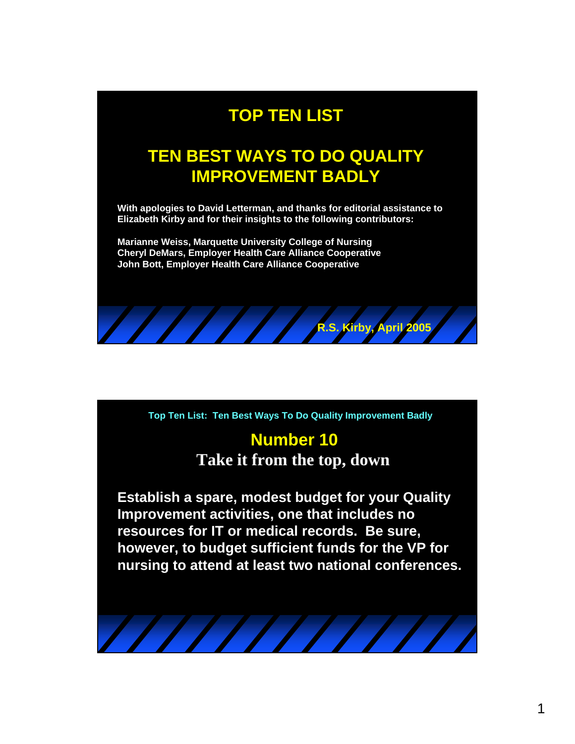## **TOP TEN LIST**

## **TEN BEST WAYS TO DO QUALITY IMPROVEMENT BADLY**

**With apologies to David Letterman, and thanks for editorial assistance to Elizabeth Kirby and for their insights to the following contributors:**

**Marianne Weiss, Marquette University College of Nursing Cheryl DeMars, Employer Health Care Alliance Cooperative John Bott, Employer Health Care Alliance Cooperative**

**Top Ten List: Ten Best Ways To Do Quality Improvement Badly**

**R.S. Kirby, April 2005**

# **Number 10**

**Take it from the top, down**

**Establish a spare, modest budget for your Quality Improvement activities, one that includes no resources for IT or medical records. Be sure, however, to budget sufficient funds for the VP for nursing to attend at least two national conferences.**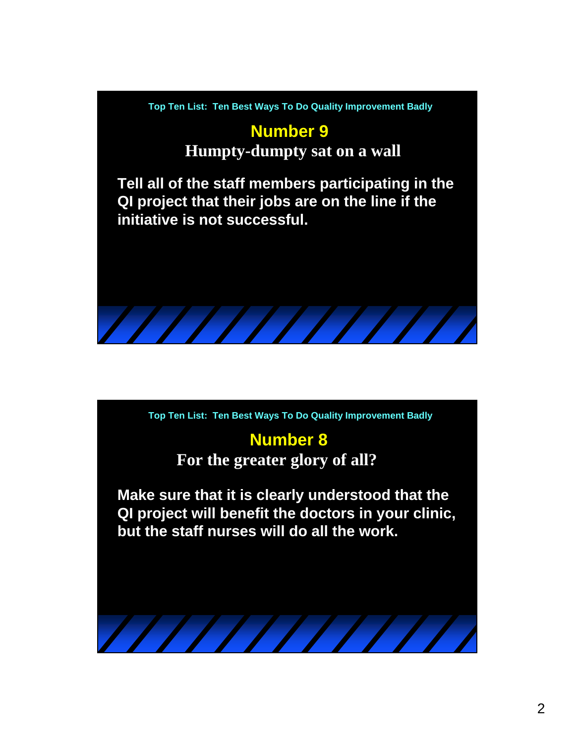## **Number 9**

**Humpty-dumpty sat on a wall**

**Tell all of the staff members participating in the QI project that their jobs are on the line if the initiative is not successful.**

**Top Ten List: Ten Best Ways To Do Quality Improvement Badly**

## **Number 8**

**For the greater glory of all?**

**Make sure that it is clearly understood that the QI project will benefit the doctors in your clinic, but the staff nurses will do all the work.**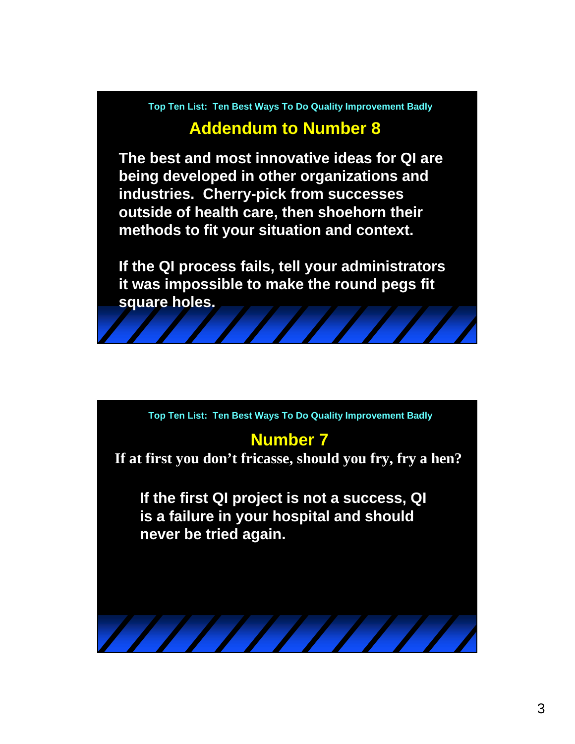### **Addendum to Number 8**

**The best and most innovative ideas for QI are being developed in other organizations and industries. Cherry-pick from successes outside of health care, then shoehorn their methods to fit your situation and context.**

**If the QI process fails, tell your administrators it was impossible to make the round pegs fit square holes.**

**Top Ten List: Ten Best Ways To Do Quality Improvement Badly**

### **Number 7**

**If at first you don't fricasse, should you fry, fry a hen?**

**If the first QI project is not a success, QI is a failure in your hospital and should never be tried again.**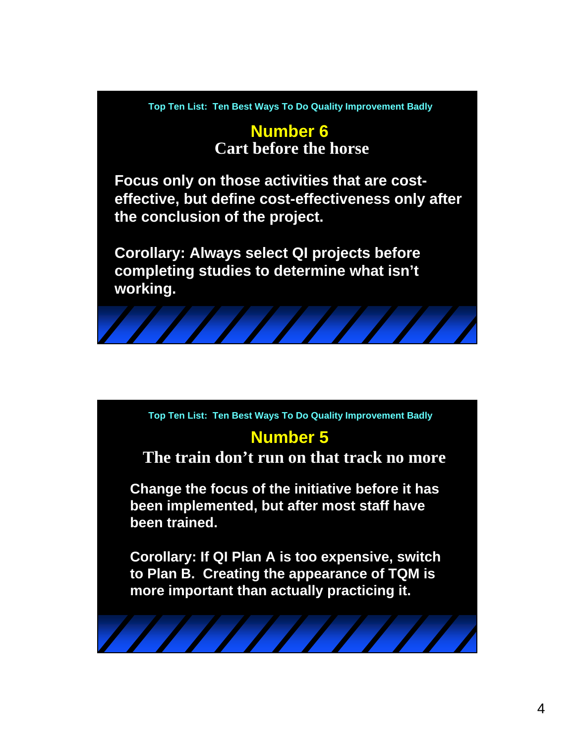#### **Number 6 Cart before the horse**

**Focus only on those activities that are costeffective, but define cost-effectiveness only after the conclusion of the project.**

**Corollary: Always select QI projects before completing studies to determine what isn't working.**



### **Number 5**

#### **The train don't run on that track no more**

**Change the focus of the initiative before it has been implemented, but after most staff have been trained.**

**Corollary: If QI Plan A is too expensive, switch to Plan B. Creating the appearance of TQM is more important than actually practicing it.**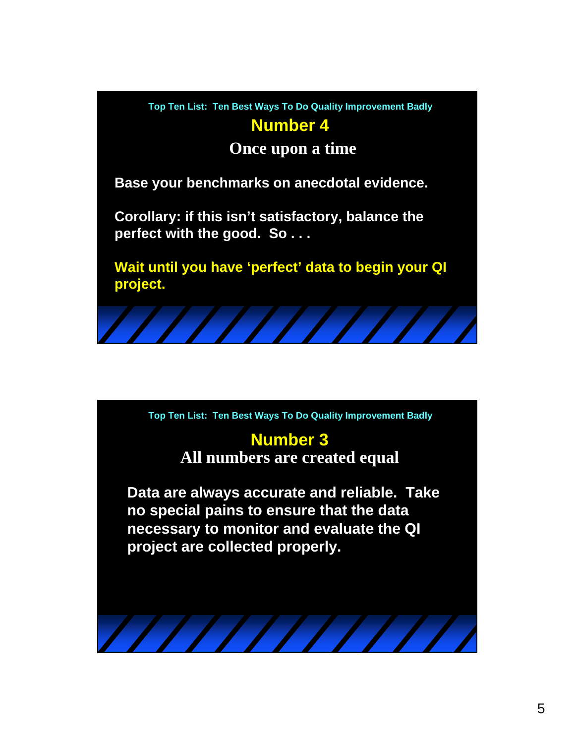**Number 4**

**Once upon a time**

**Base your benchmarks on anecdotal evidence.**

**Corollary: if this isn't satisfactory, balance the perfect with the good. So . . .**

**Wait until you have 'perfect' data to begin your QI project.**

**Top Ten List: Ten Best Ways To Do Quality Improvement Badly**

#### **Number 3 All numbers are created equal**

**Data are always accurate and reliable. Take no special pains to ensure that the data necessary to monitor and evaluate the QI project are collected properly.**